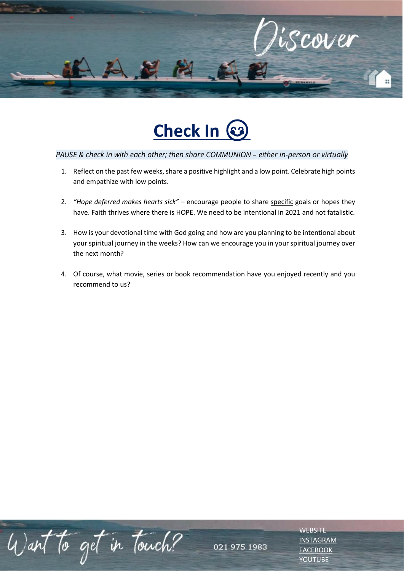



### *PAUSE & check in with each other; then share COMMUNION – either in-person or virtually*

- 1. Reflect on the past few weeks, share a positive highlight and a low point. Celebrate high points and empathize with low points.
- 2. *"Hope deferred makes hearts sick"*  encourage people to share specific goals or hopes they have. Faith thrives where there is HOPE. We need to be intentional in 2021 and not fatalistic.
- 3. How is your devotional time with God going and how are you planning to be intentional about your spiritual journey in the weeks? How can we encourage you in your spiritual journey over the next month?
- 4. Of course, what movie, series or book recommendation have you enjoyed recently and you recommend to us?

Want to get in touch?

**[WEBSITE](http://www.escc.co.za/)** [INSTAGRAM](https://www.instagram.com/esccdurbanville/) **[FACEBOOK](https://www.facebook.com/escc.za)** [YOUTUBE](https://www.youtube.com/c/ESCCDurbanvilleV)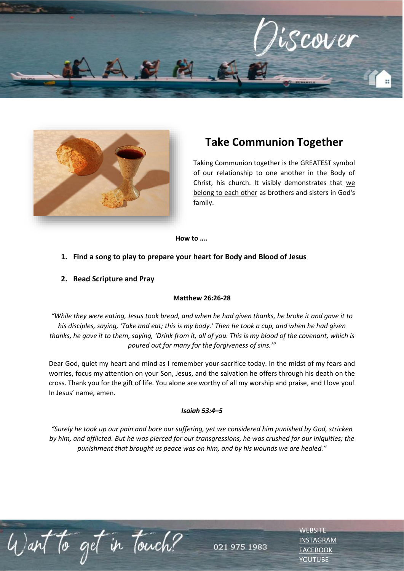



# **Take Communion Together**

Taking Communion together is the GREATEST symbol of our relationship to one another in the Body of Christ, his church. It visibly demonstrates that we belong to each other as brothers and sisters in God's family.

> **[WEBSITE](http://www.escc.co.za/)** [INSTAGRAM](https://www.instagram.com/esccdurbanville/) **[FACEBOOK](https://www.facebook.com/escc.za)** [YOUTUBE](https://www.youtube.com/c/ESCCDurbanvilleV)

**How to ….**

#### **1. Find a song to play to prepare your heart for Body and Blood of Jesus**

#### **2. Read Scripture and Pray**

Want to get in touch?

### **Matthew 26:26-28**

*"While they were eating, Jesus took bread, and when he had given thanks, he broke it and gave it to his disciples, saying, 'Take and eat; this is my body.' Then he took a cup, and when he had given thanks, he gave it to them, saying, 'Drink from it, all of you. This is my blood of the covenant, which is poured out for many for the forgiveness of sins.'"*

Dear God, quiet my heart and mind as I remember your sacrifice today. In the midst of my fears and worries, focus my attention on your Son, Jesus, and the salvation he offers through his death on the cross. Thank you for the gift of life. You alone are worthy of all my worship and praise, and I love you! In Jesus' name, amen.

#### *Isaiah 53:4–5*

*"Surely he took up our pain and bore our suffering, yet we considered him punished by God, stricken by him, and afflicted. But he was pierced for our transgressions, he was crushed for our iniquities; the punishment that brought us peace was on him, and by his wounds we are healed."*

021 975 1983